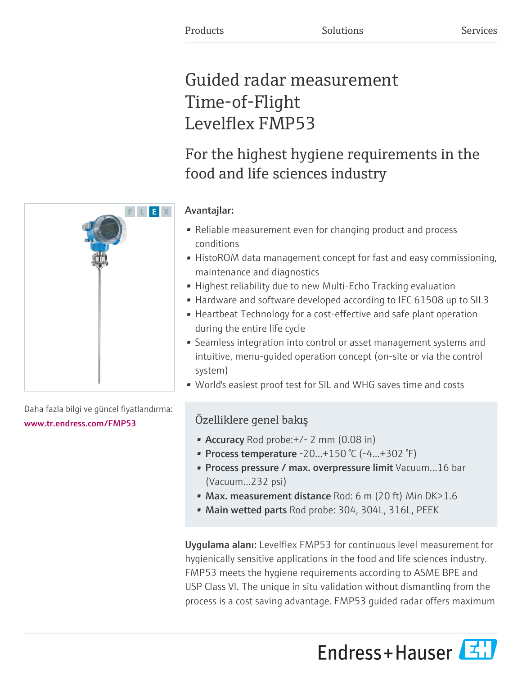# Guided radar measurement Time-of-Flight Levelflex FMP53

# For the highest hygiene requirements in the food and life sciences industry

# Avantajlar:

- Reliable measurement even for changing product and process conditions
- HistoROM data management concept for fast and easy commissioning, maintenance and diagnostics
- Highest reliability due to new Multi-Echo Tracking evaluation
- Hardware and software developed according to IEC 61508 up to SIL3
- Heartbeat Technology for a cost-effective and safe plant operation during the entire life cycle
- Seamless integration into control or asset management systems and intuitive, menu-guided operation concept (on-site or via the control system)
- World's easiest proof test for SIL and WHG saves time and costs

# Özelliklere genel bakış

- Accuracy Rod probe: + / 2 mm (0.08 in)
- Process temperature  $-20...+150$  °C ( $-4...+302$  °F)
- Process pressure / max. overpressure limit Vacuum...16 bar (Vacuum...232 psi)
- Max. measurement distance Rod: 6 m (20 ft) Min  $DK>1.6$
- Main wetted parts Rod probe: 304, 304L, 316L, PEEK

Uygulama alanı: Levelflex FMP53 for continuous level measurement for hygienically sensitive applications in the food and life sciences industry. FMP53 meets the hygiene requirements according to ASME BPE and USP Class VI. The unique in situ validation without dismantling from the process is a cost saving advantage. FMP53 guided radar offers maximum





Daha fazla bilgi ve güncel fiyatlandırma: [www.tr.endress.com/FMP53](https://www.tr.endress.com/FMP53)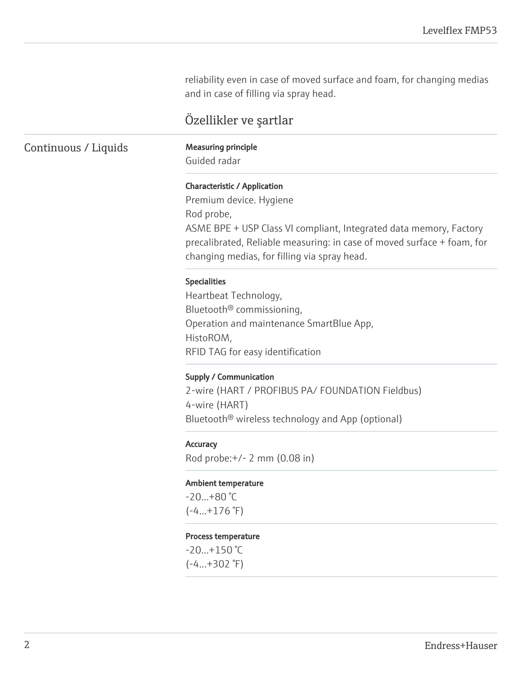reliability even in case of moved surface and foam, for changing medias and in case of filling via spray head.

# Özellikler ve şartlar

## Continuous / Liquids Measuring principle

Guided radar

#### Characteristic / Application

Premium device. Hygiene Rod probe, ASME BPE + USP Class VI compliant, Integrated data memory, Factory precalibrated, Reliable measuring: in case of moved surface + foam, for changing medias, for filling via spray head.

#### Specialities

Heartbeat Technology, Bluetooth® commissioning, Operation and maintenance SmartBlue App, HistoROM, RFID TAG for easy identification

#### Supply / Communication

2-wire (HART / PROFIBUS PA/ FOUNDATION Fieldbus) 4-wire (HART) Bluetooth® wireless technology and App (optional)

#### **Accuracy**

Rod probe:+/- 2 mm (0.08 in)

#### Ambient temperature

-20...+80 °C  $(-4...+176$ °F)

#### Process temperature

 $-20...+150$  °C (-4...+302 °F)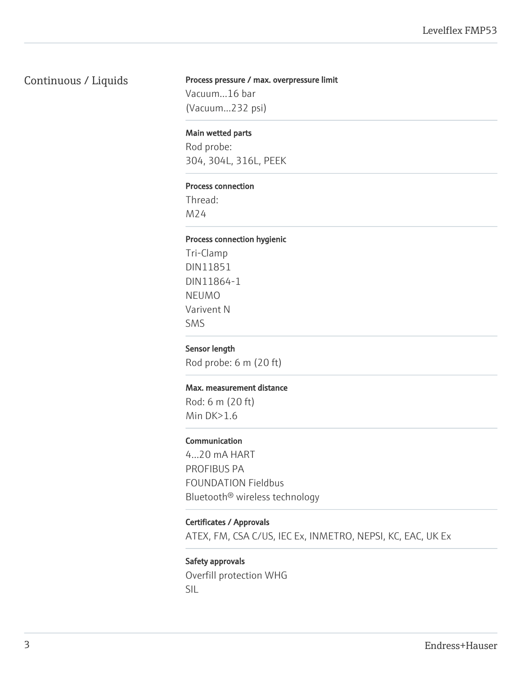## Continuous / Liquids

#### Process pressure / max. overpressure limit

Vacuum...16 bar (Vacuum...232 psi)

#### Main wetted parts

Rod probe: 304, 304L, 316L, PEEK

#### Process connection

Thread: M24

#### Process connection hygienic

Tri-Clamp DIN11851 DIN11864-1 NEUMO Varivent N SMS

#### Sensor length

Rod probe: 6 m (20 ft)

#### Max. measurement distance

Rod: 6 m (20 ft) Min DK>1.6

#### Communication

4...20 mA HART PROFIBUS PA FOUNDATION Fieldbus Bluetooth® wireless technology

#### Certificates / Approvals

ATEX, FM, CSA C/US, IEC Ex, INMETRO, NEPSI, KC, EAC, UK Ex

### Safety approvals Overfill protection WHG SIL